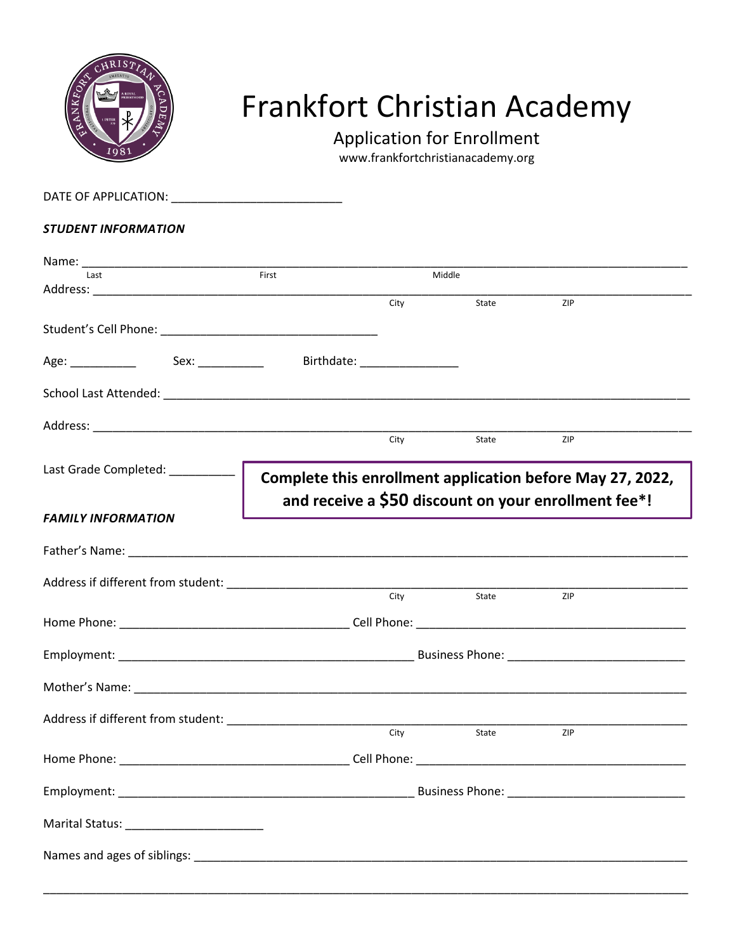

## Frankfort Christian Academy

Application for Enrollment

www.frankfortchristianacademy.org

DATE OF APPLICATION: \_\_\_\_\_\_\_\_\_\_\_\_\_\_\_\_\_\_\_\_\_\_\_\_\_\_ *STUDENT INFORMATION* Name: \_\_\_\_\_\_\_\_\_\_\_\_\_\_\_\_\_\_\_\_\_\_\_\_\_\_\_\_\_\_\_\_\_\_\_\_\_\_\_\_\_\_\_\_\_\_\_\_\_\_\_\_\_\_\_\_\_\_\_\_\_\_\_\_\_\_\_\_\_\_\_\_\_\_\_\_\_\_\_\_\_\_\_\_\_\_\_\_\_\_\_\_ Last **Example 2** (Last 2001) **First Middle 2 (Last 2002)** Middle Address: \_\_\_\_\_\_\_\_\_\_\_\_\_\_\_\_\_\_\_\_\_\_\_\_\_\_\_\_\_\_\_\_\_\_\_\_\_\_\_\_\_\_\_\_\_\_\_\_\_\_\_\_\_\_\_\_\_\_\_\_\_\_\_\_\_\_\_\_\_\_\_\_\_\_\_\_\_\_\_\_\_\_\_\_\_\_\_\_\_\_\_ State Student's Cell Phone: \_\_\_\_\_\_\_\_\_\_\_\_\_\_\_\_\_\_\_\_\_\_\_\_\_\_\_\_\_\_\_\_\_ Age: \_\_\_\_\_\_\_\_\_\_\_\_\_ Sex: \_\_\_\_\_\_\_\_\_\_\_ Birthdate: \_\_\_\_\_\_\_\_\_\_\_\_\_\_\_\_\_\_\_\_\_\_\_\_\_\_\_\_\_\_\_\_\_ School Last Attended: \_\_\_\_\_\_\_\_\_\_\_\_\_\_\_\_\_\_\_\_\_\_\_\_\_\_\_\_\_\_\_\_\_\_\_\_\_\_\_\_\_\_\_\_\_\_\_\_\_\_\_\_\_\_\_\_\_\_\_\_\_\_\_\_\_\_\_\_\_\_\_\_\_\_\_\_\_\_\_\_ Address: \_\_\_\_\_\_\_\_\_\_\_\_\_\_\_\_\_\_\_\_\_\_\_\_\_\_\_\_\_\_\_\_\_\_\_\_\_\_\_\_\_\_\_\_\_\_\_\_\_\_\_\_\_\_\_\_\_\_\_\_\_\_\_\_\_\_\_\_\_\_\_\_\_\_\_\_\_\_\_\_\_\_\_\_\_\_\_\_\_\_\_ State Last Grade Completed: \_\_\_\_\_\_\_\_\_\_\_\_ | *FAMILY INFORMATION* Father's Name:  $\overline{\phantom{a}}$ Address if different from student: \_\_\_\_\_\_\_\_\_\_\_\_\_\_\_\_\_\_\_\_\_\_\_\_\_\_\_\_\_\_\_\_\_\_\_\_\_\_\_\_\_\_\_\_\_\_\_\_\_\_\_\_\_\_\_\_\_\_\_\_\_\_\_\_\_\_\_\_\_\_ State Home Phone: \_\_\_\_\_\_\_\_\_\_\_\_\_\_\_\_\_\_\_\_\_\_\_\_\_\_\_\_\_\_\_\_\_\_\_ Cell Phone: \_\_\_\_\_\_\_\_\_\_\_\_\_\_\_\_\_\_\_\_\_\_\_\_\_\_\_\_\_\_\_\_\_\_\_\_\_\_\_\_\_ Employment: \_\_\_\_\_\_\_\_\_\_\_\_\_\_\_\_\_\_\_\_\_\_\_\_\_\_\_\_\_\_\_\_\_\_\_\_\_\_\_\_\_\_\_\_\_ Business Phone: \_\_\_\_\_\_\_\_\_\_\_\_\_\_\_\_\_\_\_\_\_\_\_\_\_\_\_ Mother's Name: **Example 20** and the set of the set of the set of the set of the set of the set of the set of the set of the set of the set of the set of the set of the set of the set of the set of the set of the set of the Address if different from student: \_\_\_\_\_\_\_\_\_\_\_\_\_\_\_\_\_\_\_\_\_\_\_\_\_\_\_\_\_\_\_\_\_\_\_\_\_\_\_\_\_\_\_\_\_\_\_\_\_\_\_\_\_\_\_\_\_\_\_\_\_\_\_\_\_\_\_\_\_\_ State Home Phone: \_\_\_\_\_\_\_\_\_\_\_\_\_\_\_\_\_\_\_\_\_\_\_\_\_\_\_\_\_\_\_\_\_\_\_ Cell Phone: \_\_\_\_\_\_\_\_\_\_\_\_\_\_\_\_\_\_\_\_\_\_\_\_\_\_\_\_\_\_\_\_\_\_\_\_\_\_\_\_\_ Employment: \_\_\_\_\_\_\_\_\_\_\_\_\_\_\_\_\_\_\_\_\_\_\_\_\_\_\_\_\_\_\_\_\_\_\_\_\_\_\_\_\_\_\_\_\_ Business Phone: \_\_\_\_\_\_\_\_\_\_\_\_\_\_\_\_\_\_\_\_\_\_\_\_\_\_\_ Marital Status: \_\_\_\_\_\_\_\_\_\_\_\_\_\_\_\_\_\_\_\_\_ Names and ages of siblings: \_\_\_\_\_\_\_\_\_\_\_\_\_\_\_\_\_\_\_\_\_\_\_\_\_\_\_\_\_\_\_\_\_\_\_\_\_\_\_\_\_\_\_\_\_\_\_\_\_\_\_\_\_\_\_\_\_\_\_\_\_\_\_\_\_\_\_\_\_\_\_\_\_\_\_ **Complete this enrollment application before May 27, 2022, and receive a \$50 discount on your enrollment fee\*!**

\_\_\_\_\_\_\_\_\_\_\_\_\_\_\_\_\_\_\_\_\_\_\_\_\_\_\_\_\_\_\_\_\_\_\_\_\_\_\_\_\_\_\_\_\_\_\_\_\_\_\_\_\_\_\_\_\_\_\_\_\_\_\_\_\_\_\_\_\_\_\_\_\_\_\_\_\_\_\_\_\_\_\_\_\_\_\_\_\_\_\_\_\_\_\_\_\_\_